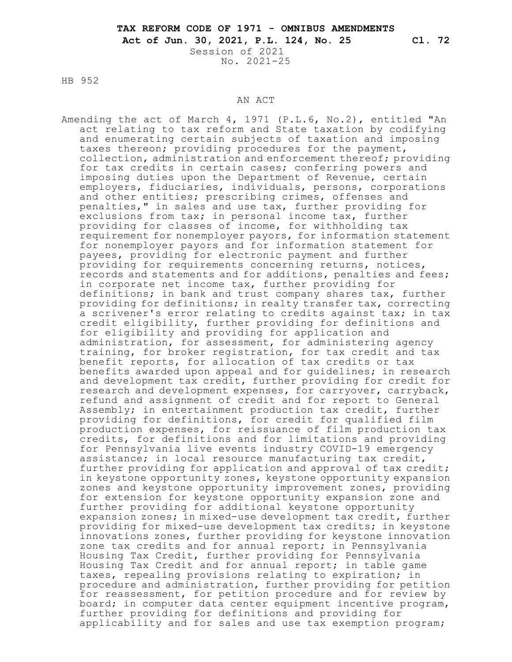Session of 2021 No. 2021-25

HB 952

#### AN ACT

Amending the act of March 4, 1971 (P.L.6, No.2), entitled "An act relating to tax reform and State taxation by codifying and enumerating certain subjects of taxation and imposing taxes thereon; providing procedures for the payment, collection, administration and enforcement thereof; providing for tax credits in certain cases; conferring powers and imposing duties upon the Department of Revenue, certain employers, fiduciaries, individuals, persons, corporations and other entities; prescribing crimes, offenses and penalties," in sales and use tax, further providing for exclusions from tax; in personal income tax, further providing for classes of income, for withholding tax requirement for nonemployer payors, for information statement for nonemployer payors and for information statement for payees, providing for electronic payment and further providing for requirements concerning returns, notices, records and statements and for additions, penalties and fees; in corporate net income tax, further providing for definitions; in bank and trust company shares tax, further providing for definitions; in realty transfer tax, correcting a scrivener's error relating to credits against tax; in tax credit eligibility, further providing for definitions and for eligibility and providing for application and administration, for assessment, for administering agency training, for broker registration, for tax credit and tax benefit reports, for allocation of tax credits or tax benefits awarded upon appeal and for guidelines; in research and development tax credit, further providing for credit for research and development expenses, for carryover, carryback, refund and assignment of credit and for report to General Assembly; in entertainment production tax credit, further providing for definitions, for credit for qualified film production expenses, for reissuance of film production tax credits, for definitions and for limitations and providing for Pennsylvania live events industry COVID-19 emergency assistance; in local resource manufacturing tax credit, further providing for application and approval of tax credit; in keystone opportunity zones, keystone opportunity expansion zones and keystone opportunity improvement zones, providing for extension for keystone opportunity expansion zone and further providing for additional keystone opportunity expansion zones; in mixed-use development tax credit, further providing for mixed-use development tax credits; in keystone innovations zones, further providing for keystone innovation zone tax credits and for annual report; in Pennsylvania Housing Tax Credit, further providing for Pennsylvania Housing Tax Credit and for annual report; in table game taxes, repealing provisions relating to expiration; in procedure and administration, further providing for petition for reassessment, for petition procedure and for review by board; in computer data center equipment incentive program, further providing for definitions and providing for applicability and for sales and use tax exemption program;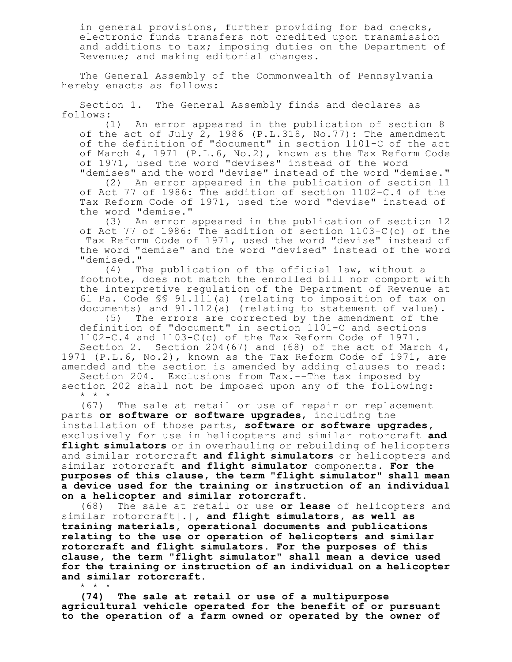in general provisions, further providing for bad checks, electronic funds transfers not credited upon transmission and additions to tax; imposing duties on the Department of Revenue; and making editorial changes.

The General Assembly of the Commonwealth of Pennsylvania hereby enacts as follows:

Section 1. The General Assembly finds and declares as follows:

(1) An error appeared in the publication of section 8 of the act of July 2, 1986 (P.L.318, No.77): The amendment of the definition of "document" in section 1101-C of the act of March 4, 1971 (P.L.6, No.2), known as the Tax Reform Code of 1971, used the word "devises" instead of the word "demises" and the word "devise" instead of the word "demise."

(2) An error appeared in the publication of section 11 of Act 77 of 1986: The addition of section 1102-C.4 of the Tax Reform Code of 1971, used the word "devise" instead of the word "demise."

(3) An error appeared in the publication of section 12 of Act 77 of 1986: The addition of section 1103-C(c) of the Tax Reform Code of 1971, used the word "devise" instead of the word "demise" and the word "devised" instead of the word "demised."

(4) The publication of the official law, without a footnote, does not match the enrolled bill nor comport with the interpretive regulation of the Department of Revenue at 61 Pa. Code §§ 91.111(a) (relating to imposition of tax on documents) and 91.112(a) (relating to statement of value).

(5) The errors are corrected by the amendment of the definition of "document" in section 1101-C and sections 1102-C.4 and 1103-C(c) of the Tax Reform Code of 1971.

Section 2. Section  $204(67)$  and  $(68)$  of the act of March  $4$ , 1971 (P.L.6, No.2), known as the Tax Reform Code of 1971, are amended and the section is amended by adding clauses to read: Section 204. Exclusions from Tax.--The tax imposed by

section 202 shall not be imposed upon any of the following: \* \* \*

(67) The sale at retail or use of repair or replacement parts **or software or software upgrades**, including the installation of those parts, **software or software upgrades,** exclusively for use in helicopters and similar rotorcraft **and flight simulators** or in overhauling or rebuilding of helicopters and similar rotorcraft **and flight simulators** or helicopters and similar rotorcraft **and flight simulator** components. **For the purposes of this clause, the term "flight simulator" shall mean a device used for the training or instruction of an individual on a helicopter and similar rotorcraft.**

(68) The sale at retail or use **or lease** of helicopters and similar rotorcraft[.]**, and flight simulators, as well as training materials, operational documents and publications relating to the use or operation of helicopters and similar rotorcraft and flight simulators. For the purposes of this clause, the term "flight simulator" shall mean a device used for the training or instruction of an individual on a helicopter and similar rotorcraft.** \* \* \*

**(74) The sale at retail or use of a multipurpose agricultural vehicle operated for the benefit of or pursuant to the operation of a farm owned or operated by the owner of**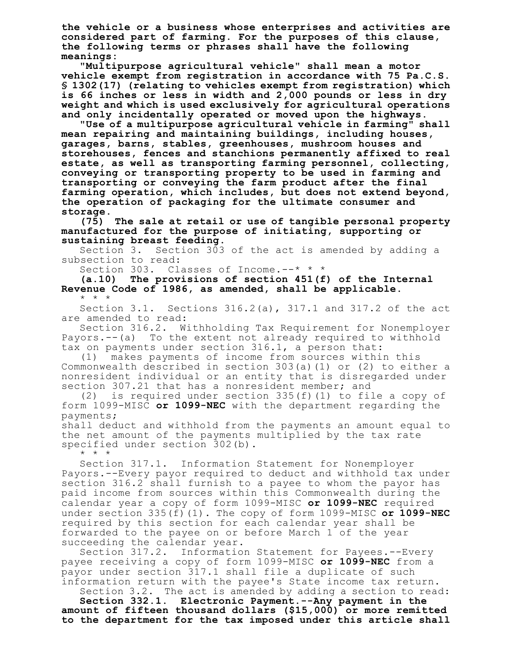**the vehicle or a business whose enterprises and activities are considered part of farming. For the purposes of this clause, the following terms or phrases shall have the following meanings:**

**"Multipurpose agricultural vehicle" shall mean a motor vehicle exempt from registration in accordance with 75 Pa.C.S. § 1302(17) (relating to vehicles exempt from registration) which is 66 inches or less in width and 2,000 pounds or less in dry weight and which is used exclusively for agricultural operations and only incidentally operated or moved upon the highways.**

**"Use of a multipurpose agricultural vehicle in farming" shall mean repairing and maintaining buildings, including houses, garages, barns, stables, greenhouses, mushroom houses and storehouses, fences and stanchions permanently affixed to real estate, as well as transporting farming personnel, collecting, conveying or transporting property to be used in farming and transporting or conveying the farm product after the final farming operation, which includes, but does not extend beyond, the operation of packaging for the ultimate consumer and storage.**

**(75) The sale at retail or use of tangible personal property manufactured for the purpose of initiating, supporting or sustaining breast feeding.**

Section 3. Section 303 of the act is amended by adding a subsection to read:

Section 303. Classes of Income.--\* \* \*

**(a.10) The provisions of section 451(f) of the Internal Revenue Code of 1986, as amended, shall be applicable.** \* \* \*

Section 3.1. Sections  $316.2(a)$ ,  $317.1$  and  $317.2$  of the act are amended to read:

Section 316.2. Withholding Tax Requirement for Nonemployer Payors.--(a) To the extent not already required to withhold tax on payments under section 316.1, a person that:

(1) makes payments of income from sources within this Commonwealth described in section 303(a)(1) or (2) to either a nonresident individual or an entity that is disregarded under section 307.21 that has a nonresident member; and<br>(2) is required under section 335(f)(1) to fil

is required under section  $335(f)(1)$  to file a copy of form 1099-MISC **or 1099-NEC** with the department regarding the payments;

shall deduct and withhold from the payments an amount equal to the net amount of the payments multiplied by the tax rate specified under section 302(b).

\* \* \*

Section 317.1. Information Statement for Nonemployer Payors.--Every payor required to deduct and withhold tax under section 316.2 shall furnish to a payee to whom the payor has paid income from sources within this Commonwealth during the calendar year a copy of form 1099-MISC **or 1099-NEC** required under section 335(f)(1). The copy of form 1099-MISC **or 1099-NEC** required by this section for each calendar year shall be forwarded to the payee on or before March 1 of the year succeeding the calendar year.

Section 317.2. Information Statement for Payees.--Every payee receiving a copy of form 1099-MISC **or 1099-NEC** from a payor under section 317.1 shall file a duplicate of such information return with the payee's State income tax return. Section 3.2. The act is amended by adding a section to read:

**Section 332.1. Electronic Payment.--Any payment in the amount of fifteen thousand dollars (\$15,000) or more remitted to the department for the tax imposed under this article shall**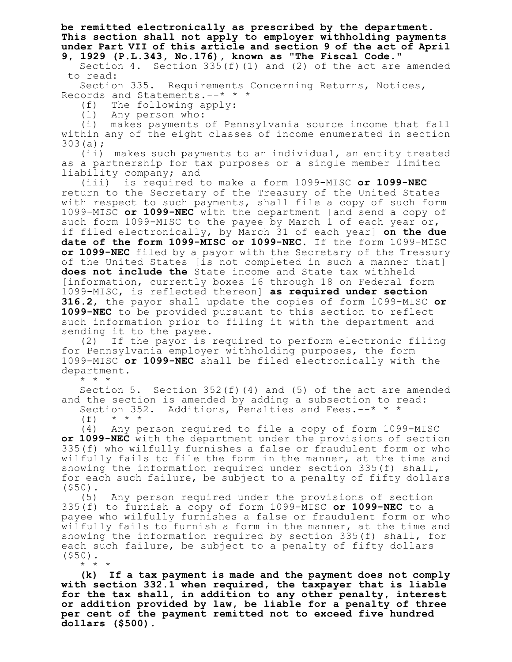**be remitted electronically as prescribed by the department. This section shall not apply to employer withholding payments under Part VII of this article and section 9 of the act of April 9, 1929 (P.L.343, No.176), known as "The Fiscal Code."**

Section 4. Section 335(f)(1) and (2) of the act are amended to read:

Section 335. Requirements Concerning Returns, Notices, Records and Statements.--\* \* \*

(f) The following apply:

(1) Any person who:

(i) makes payments of Pennsylvania source income that fall within any of the eight classes of income enumerated in section 303(a);

(ii) makes such payments to an individual, an entity treated as a partnership for tax purposes or a single member limited liability company; and

(iii) is required to make a form 1099-MISC **or 1099-NEC** return to the Secretary of the Treasury of the United States with respect to such payments, shall file a copy of such form 1099-MISC **or 1099-NEC** with the department [and send a copy of such form 1099-MISC to the payee by March 1 of each year or, if filed electronically, by March 31 of each year] **on the due date of the form 1099-MISC or 1099-NEC**. If the form 1099-MISC **or 1099-NEC** filed by a payor with the Secretary of the Treasury of the United States [is not completed in such a manner that] **does not include the** State income and State tax withheld [information, currently boxes 16 through 18 on Federal form 1099-MISC, is reflected thereon] **as required under section 316.2**, the payor shall update the copies of form 1099-MISC **or 1099-NEC** to be provided pursuant to this section to reflect such information prior to filing it with the department and sending it to the payee.

(2) If the payor is required to perform electronic filing for Pennsylvania employer withholding purposes, the form 1099-MISC **or 1099-NEC** shall be filed electronically with the department.

\* \* \*

Section 5. Section 352(f)(4) and (5) of the act are amended and the section is amended by adding a subsection to read: Section 352. Additions, Penalties and Fees. --\* \* \*

 $(f)$  \* \* \*

(4) Any person required to file a copy of form 1099-MISC **or 1099-NEC** with the department under the provisions of section 335(f) who wilfully furnishes a false or fraudulent form or who wilfully fails to file the form in the manner, at the time and showing the information required under section 335(f) shall, for each such failure, be subject to a penalty of fifty dollars (\$50).

(5) Any person required under the provisions of section 335(f) to furnish a copy of form 1099-MISC **or 1099-NEC** to a payee who wilfully furnishes a false or fraudulent form or who wilfully fails to furnish a form in the manner, at the time and showing the information required by section 335(f) shall, for each such failure, be subject to a penalty of fifty dollars (\$50).

\* \* \*

**(k) If a tax payment is made and the payment does not comply with section 332.1 when required, the taxpayer that is liable for the tax shall, in addition to any other penalty, interest or addition provided by law, be liable for a penalty of three per cent of the payment remitted not to exceed five hundred dollars (\$500).**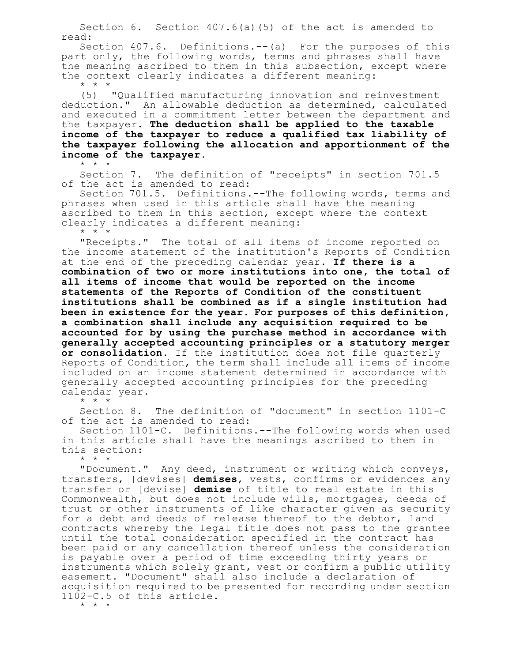Section 6. Section 407.6(a)(5) of the act is amended to read:

Section 407.6. Definitions.--(a) For the purposes of this part only, the following words, terms and phrases shall have the meaning ascribed to them in this subsection, except where the context clearly indicates a different meaning: \* \* \*

(5) "Qualified manufacturing innovation and reinvestment deduction." An allowable deduction as determined, calculated and executed in a commitment letter between the department and the taxpayer. **The deduction shall be applied to the taxable income of the taxpayer to reduce a qualified tax liability of the taxpayer following the allocation and apportionment of the income of the taxpayer.** \* \* \*

Section 7. The definition of "receipts" in section 701.5 of the act is amended to read:

Section 701.5. Definitions.--The following words, terms and phrases when used in this article shall have the meaning ascribed to them in this section, except where the context clearly indicates a different meaning:

\* \* \*

"Receipts." The total of all items of income reported on the income statement of the institution's Reports of Condition at the end of the preceding calendar year. **If there is a combination of two or more institutions into one, the total of all items of income that would be reported on the income statements of the Reports of Condition of the constituent institutions shall be combined as if a single institution had been in existence for the year. For purposes of this definition, a combination shall include any acquisition required to be accounted for by using the purchase method in accordance with generally accepted accounting principles or a statutory merger or consolidation.** If the institution does not file quarterly Reports of Condition, the term shall include all items of income included on an income statement determined in accordance with generally accepted accounting principles for the preceding calendar year.

\* \* \*

Section 8. The definition of "document" in section 1101-C of the act is amended to read:

Section 1101-C. Definitions.--The following words when used in this article shall have the meanings ascribed to them in this section:

\* \* \*

"Document." Any deed, instrument or writing which conveys, transfers, [devises] **demises**, vests, confirms or evidences any transfer or [devise] **demise** of title to real estate in this Commonwealth, but does not include wills, mortgages, deeds of trust or other instruments of like character given as security for a debt and deeds of release thereof to the debtor, land contracts whereby the legal title does not pass to the grantee until the total consideration specified in the contract has been paid or any cancellation thereof unless the consideration is payable over a period of time exceeding thirty years or instruments which solely grant, vest or confirm a public utility easement. "Document" shall also include a declaration of acquisition required to be presented for recording under section 1102-C.5 of this article.

\* \* \*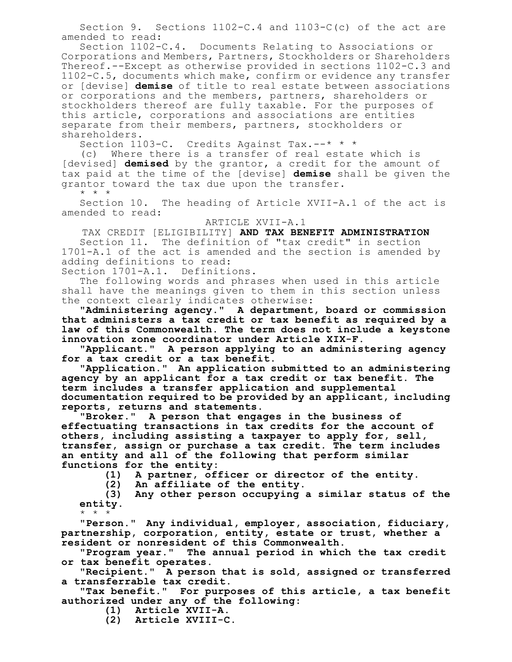Section 9. Sections 1102-C.4 and 1103-C(c) of the act are amended to read:

Section 1102-C.4. Documents Relating to Associations or Corporations and Members, Partners, Stockholders or Shareholders Thereof.--Except as otherwise provided in sections 1102-C.3 and 1102-C.5, documents which make, confirm or evidence any transfer or [devise] **demise** of title to real estate between associations or corporations and the members, partners, shareholders or stockholders thereof are fully taxable. For the purposes of this article, corporations and associations are entities separate from their members, partners, stockholders or shareholders.

Section 1103-C. Credits Against Tax.--\* \* \*

(c) Where there is a transfer of real estate which is [devised] **demised** by the grantor, a credit for the amount of tax paid at the time of the [devise] **demise** shall be given the grantor toward the tax due upon the transfer.

\* \* \*

Section 10. The heading of Article XVII-A.1 of the act is amended to read:

ARTICLE XVII-A.1

TAX CREDIT [ELIGIBILITY] **AND TAX BENEFIT ADMINISTRATION**

Section 11. The definition of "tax credit" in section 1701-A.1 of the act is amended and the section is amended by adding definitions to read:

Section 1701-A.1. Definitions.

The following words and phrases when used in this article shall have the meanings given to them in this section unless the context clearly indicates otherwise:

**"Administering agency." A department, board or commission that administers a tax credit or tax benefit as required by a law of this Commonwealth. The term does not include a keystone innovation zone coordinator under Article XIX-F.**

**"Applicant." A person applying to an administering agency for a tax credit or a tax benefit.**

**"Application." An application submitted to an administering agency by an applicant for a tax credit or tax benefit. The term includes a transfer application and supplemental documentation required to be provided by an applicant, including reports, returns and statements.**

**"Broker." A person that engages in the business of effectuating transactions in tax credits for the account of others, including assisting a taxpayer to apply for, sell, transfer, assign or purchase a tax credit. The term includes an entity and all of the following that perform similar functions for the entity:**

**(1) A partner, officer or director of the entity.**

**(2) An affiliate of the entity.**

**(3) Any other person occupying a similar status of the entity.** \* \* \*

**"Person." Any individual, employer, association, fiduciary, partnership, corporation, entity, estate or trust, whether a resident or nonresident of this Commonwealth.**

**"Program year." The annual period in which the tax credit or tax benefit operates.**

**"Recipient." A person that is sold, assigned or transferred a transferrable tax credit.**

**"Tax benefit." For purposes of this article, a tax benefit authorized under any of the following:**

**(1) Article XVII-A.**

**(2) Article XVIII-C.**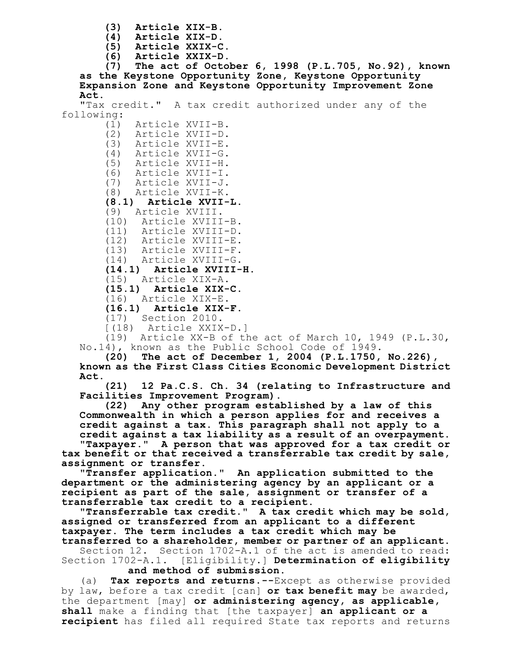- **(3) Article XIX-B.**
- **(4) Article XIX-D.**
- **(5) Article XXIX-C.**
- **(6) Article XXIX-D.**

**(7) The act of October 6, 1998 (P.L.705, No.92), known as the Keystone Opportunity Zone, Keystone Opportunity Expansion Zone and Keystone Opportunity Improvement Zone Act.**

"Tax credit." A tax credit authorized under any of the following:

(1) Article XVII-B. (2) Article XVII-D. (3) Article XVII-E. Article XVII-G. (5) Article XVII-H. (6) Article XVII-I. (7) Article XVII-J. (8) Article XVII-K. **(8.1) Article XVII-L.** (9) Article XVIII. (10) Article XVIII-B. (11) Article XVIII-D. (12) Article XVIII-E. (13) Article XVIII-F. (14) Article XVIII-G. **(14.1) Article XVIII-H.** (15) Article XIX-A. **(15.1) Article XIX-C.** (16) Article XIX-E. **(16.1) Article XIX-F.**

- (17) Section 2010.
- [(18) Article XXIX-D.]

(19) Article XX-B of the act of March 10, 1949 (P.L.30, No.14), known as the Public School Code of 1949.

**(20) The act of December 1, 2004 (P.L.1750, No.226), known as the First Class Cities Economic Development District Act.**

**(21) 12 Pa.C.S. Ch. 34 (relating to Infrastructure and Facilities Improvement Program).**

**(22) Any other program established by a law of this Commonwealth in which a person applies for and receives a credit against a tax. This paragraph shall not apply to a credit against a tax liability as a result of an overpayment.**

**"Taxpayer." A person that was approved for a tax credit or tax benefit or that received a transferrable tax credit by sale, assignment or transfer.**

**"Transfer application." An application submitted to the department or the administering agency by an applicant or a recipient as part of the sale, assignment or transfer of a transferrable tax credit to a recipient.**

**"Transferrable tax credit." A tax credit which may be sold, assigned or transferred from an applicant to a different taxpayer. The term includes a tax credit which may be**

**transferred to a shareholder, member or partner of an applicant.** Section 12. Section 1702-A.1 of the act is amended to read: Section 1702-A.1. [Eligibility.] **Determination of eligibility and method of submission.**

(a) **Tax reports and returns.--**Except as otherwise provided by law, before a tax credit [can] **or tax benefit may** be awarded, the department [may] **or administering agency, as applicable, shall** make a finding that [the taxpayer] **an applicant or a recipient** has filed all required State tax reports and returns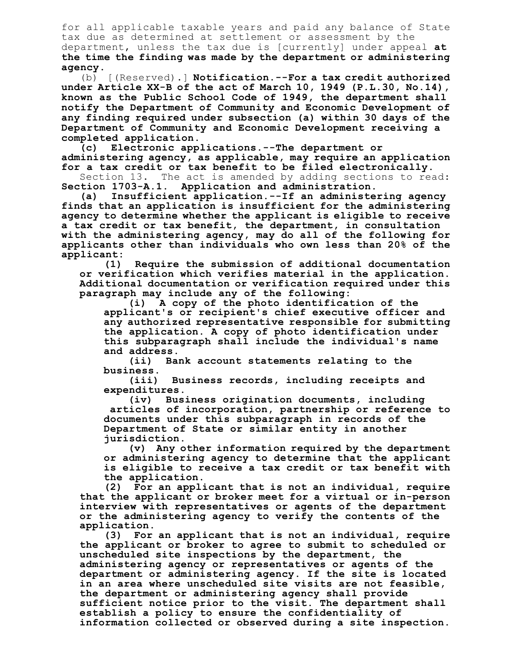for all applicable taxable years and paid any balance of State tax due as determined at settlement or assessment by the department, unless the tax due is [currently] under appeal **at the time the finding was made by the department or administering agency**.

(b) [(Reserved).] **Notification.--For a tax credit authorized under Article XX-B of the act of March 10, 1949 (P.L.30, No.14), known as the Public School Code of 1949, the department shall notify the Department of Community and Economic Development of any finding required under subsection (a) within 30 days of the Department of Community and Economic Development receiving a completed application.**

**(c) Electronic applications.--The department or administering agency, as applicable, may require an application for a tax credit or tax benefit to be filed electronically.**

Section 13. The act is amended by adding sections to read:<br>Section 1703-A.1. Application and administration. **Section 1703-A.1. Application and administration.**

**(a) Insufficient application.--If an administering agency finds that an application is insufficient for the administering agency to determine whether the applicant is eligible to receive a tax credit or tax benefit, the department, in consultation with the administering agency, may do all of the following for applicants other than individuals who own less than 20% of the applicant:**

**(1) Require the submission of additional documentation or verification which verifies material in the application. Additional documentation or verification required under this paragraph may include any of the following:**

**(i) A copy of the photo identification of the applicant's or recipient's chief executive officer and any authorized representative responsible for submitting the application. A copy of photo identification under this subparagraph shall include the individual's name and address.**

**(ii) Bank account statements relating to the business.**

**(iii) Business records, including receipts and expenditures.**

**(iv) Business origination documents, including articles of incorporation, partnership or reference to documents under this subparagraph in records of the Department of State or similar entity in another jurisdiction.**

**(v) Any other information required by the department or administering agency to determine that the applicant is eligible to receive a tax credit or tax benefit with the application.**

**(2) For an applicant that is not an individual, require that the applicant or broker meet for a virtual or in-person interview with representatives or agents of the department or the administering agency to verify the contents of the application.**

**(3) For an applicant that is not an individual, require the applicant or broker to agree to submit to scheduled or unscheduled site inspections by the department, the administering agency or representatives or agents of the department or administering agency. If the site is located in an area where unscheduled site visits are not feasible, the department or administering agency shall provide sufficient notice prior to the visit. The department shall establish a policy to ensure the confidentiality of information collected or observed during a site inspection.**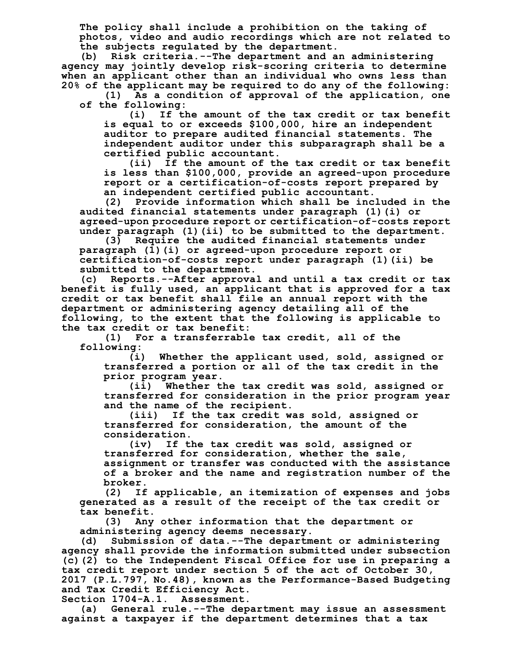**The policy shall include a prohibition on the taking of photos, video and audio recordings which are not related to the subjects regulated by the department.**

**(b) Risk criteria.--The department and an administering agency may jointly develop risk-scoring criteria to determine when an applicant other than an individual who owns less than 20% of the applicant may be required to do any of the following:**

**(1) As a condition of approval of the application, one of the following:**

**(i) If the amount of the tax credit or tax benefit is equal to or exceeds \$100,000, hire an independent auditor to prepare audited financial statements. The independent auditor under this subparagraph shall be a certified public accountant.**

**(ii) If the amount of the tax credit or tax benefit is less than \$100,000, provide an agreed-upon procedure report or a certification-of-costs report prepared by an independent certified public accountant.**

**(2) Provide information which shall be included in the audited financial statements under paragraph (1)(i) or agreed-upon procedure report or certification-of-costs report under paragraph (1)(ii) to be submitted to the department.**

**(3) Require the audited financial statements under paragraph (1)(i) or agreed-upon procedure report or certification-of-costs report under paragraph (1)(ii) be submitted to the department.**

**(c) Reports.--After approval and until a tax credit or tax benefit is fully used, an applicant that is approved for a tax credit or tax benefit shall file an annual report with the department or administering agency detailing all of the following, to the extent that the following is applicable to the tax credit or tax benefit:**

**(1) For a transferrable tax credit, all of the following:**

**(i) Whether the applicant used, sold, assigned or transferred a portion or all of the tax credit in the prior program year.**

**(ii) Whether the tax credit was sold, assigned or transferred for consideration in the prior program year and the name of the recipient.**

**(iii) If the tax credit was sold, assigned or transferred for consideration, the amount of the consideration.**

**(iv) If the tax credit was sold, assigned or transferred for consideration, whether the sale, assignment or transfer was conducted with the assistance of a broker and the name and registration number of the broker.**

**(2) If applicable, an itemization of expenses and jobs generated as a result of the receipt of the tax credit or tax benefit.**

**(3) Any other information that the department or administering agency deems necessary.**

**(d) Submission of data.--The department or administering agency shall provide the information submitted under subsection (c)(2) to the Independent Fiscal Office for use in preparing a tax credit report under section 5 of the act of October 30, 2017 (P.L.797, No.48), known as the Performance-Based Budgeting and Tax Credit Efficiency Act.**

**Section 1704-A.1. Assessment.**

**(a) General rule.--The department may issue an assessment against a taxpayer if the department determines that a tax**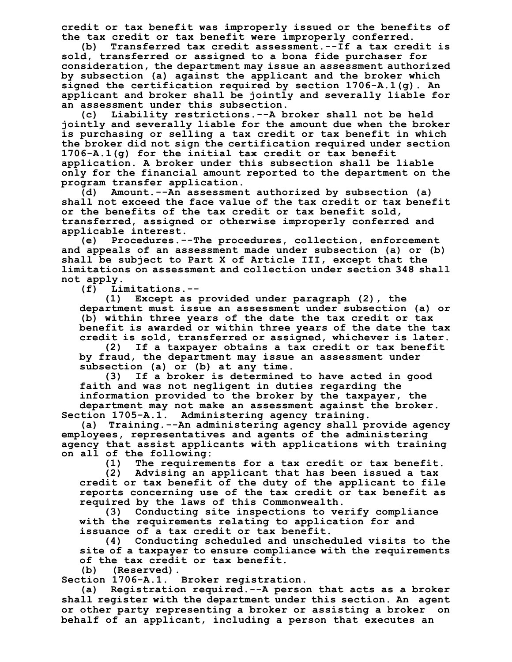**credit or tax benefit was improperly issued or the benefits of the tax credit or tax benefit were improperly conferred.**

**(b) Transferred tax credit assessment.--If a tax credit is sold, transferred or assigned to a bona fide purchaser for consideration, the department may issue an assessment authorized by subsection (a) against the applicant and the broker which signed the certification required by section 1706-A.1(g). An applicant and broker shall be jointly and severally liable for an assessment under this subsection.**

**(c) Liability restrictions.--A broker shall not be held jointly and severally liable for the amount due when the broker is purchasing or selling a tax credit or tax benefit in which the broker did not sign the certification required under section 1706-A.1(g) for the initial tax credit or tax benefit application. A broker under this subsection shall be liable only for the financial amount reported to the department on the program transfer application.**

**(d) Amount.--An assessment authorized by subsection (a) shall not exceed the face value of the tax credit or tax benefit or the benefits of the tax credit or tax benefit sold, transferred, assigned or otherwise improperly conferred and applicable interest.**

**(e) Procedures.--The procedures, collection, enforcement and appeals of an assessment made under subsection (a) or (b) shall be subject to Part X of Article III, except that the limitations on assessment and collection under section 348 shall not apply.**

**(f) Limitations.--**

**(1) Except as provided under paragraph (2), the department must issue an assessment under subsection (a) or (b) within three years of the date the tax credit or tax benefit is awarded or within three years of the date the tax credit is sold, transferred or assigned, whichever is later.**

**(2) If a taxpayer obtains a tax credit or tax benefit by fraud, the department may issue an assessment under subsection (a) or (b) at any time.**

**(3) If a broker is determined to have acted in good faith and was not negligent in duties regarding the information provided to the broker by the taxpayer, the department may not make an assessment against the broker. Section 1705-A.1. Administering agency training.**

**(a) Training.--An administering agency shall provide agency employees, representatives and agents of the administering agency that assist applicants with applications with training on all of the following:**

**(1) The requirements for a tax credit or tax benefit.**

**(2) Advising an applicant that has been issued a tax credit or tax benefit of the duty of the applicant to file reports concerning use of the tax credit or tax benefit as required by the laws of this Commonwealth.**

**(3) Conducting site inspections to verify compliance with the requirements relating to application for and issuance of a tax credit or tax benefit.**

**(4) Conducting scheduled and unscheduled visits to the site of a taxpayer to ensure compliance with the requirements of the tax credit or tax benefit.**

**(b) (Reserved).**

**Section 1706-A.1. Broker registration.**

**(a) Registration required.--A person that acts as a broker shall register with the department under this section. An agent or other party representing a broker or assisting a broker on behalf of an applicant, including a person that executes an**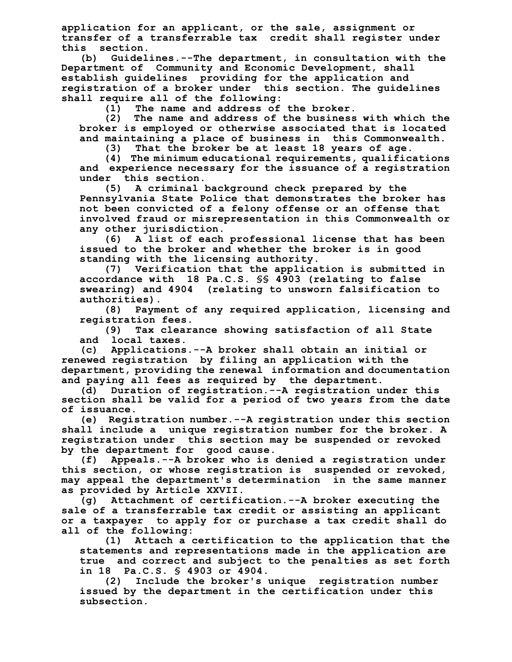**application for an applicant, or the sale, assignment or transfer of a transferrable tax credit shall register under this section.**

**(b) Guidelines.--The department, in consultation with the Department of Community and Economic Development, shall establish guidelines providing for the application and registration of a broker under this section. The guidelines shall require all of the following:**

**(1) The name and address of the broker.**

**(2) The name and address of the business with which the broker is employed or otherwise associated that is located and maintaining a place of business in this Commonwealth.**

**(3) That the broker be at least 18 years of age.**

**(4) The minimum educational requirements, qualifications and experience necessary for the issuance of a registration under this section.**

**(5) A criminal background check prepared by the Pennsylvania State Police that demonstrates the broker has not been convicted of a felony offense or an offense that involved fraud or misrepresentation in this Commonwealth or any other jurisdiction.**

**(6) A list of each professional license that has been issued to the broker and whether the broker is in good standing with the licensing authority.**

**(7) Verification that the application is submitted in accordance with 18 Pa.C.S. §§ 4903 (relating to false swearing) and 4904 (relating to unsworn falsification to authorities).**

**(8) Payment of any required application, licensing and registration fees.**

**(9) Tax clearance showing satisfaction of all State and local taxes.**

**(c) Applications.--A broker shall obtain an initial or renewed registration by filing an application with the department, providing the renewal information and documentation and paying all fees as required by the department.**

**(d) Duration of registration.--A registration under this section shall be valid for a period of two years from the date of issuance.**

**(e) Registration number.--A registration under this section shall include a unique registration number for the broker. A registration under this section may be suspended or revoked by the department for good cause.**

**(f) Appeals.--A broker who is denied a registration under this section, or whose registration is suspended or revoked, may appeal the department's determination in the same manner as provided by Article XXVII.**

**(g) Attachment of certification.--A broker executing the sale of a transferrable tax credit or assisting an applicant or a taxpayer to apply for or purchase a tax credit shall do all of the following:**

**(1) Attach a certification to the application that the statements and representations made in the application are true and correct and subject to the penalties as set forth in 18 Pa.C.S. § 4903 or 4904.**

**(2) Include the broker's unique registration number issued by the department in the certification under this subsection.**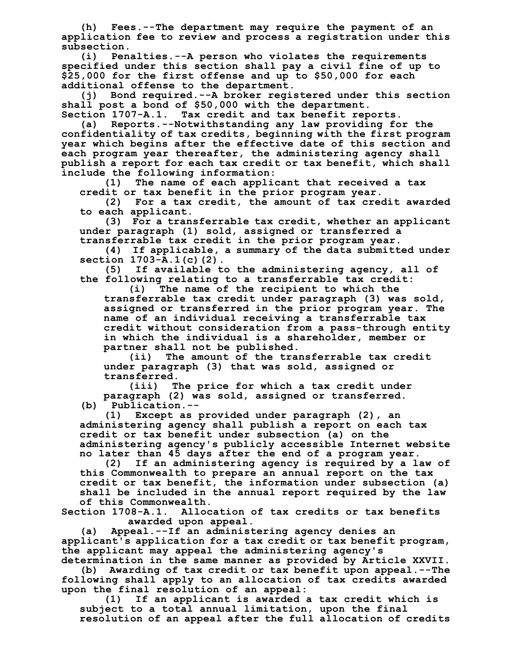**(h) Fees.--The department may require the payment of an application fee to review and process a registration under this subsection.**

**(i) Penalties.--A person who violates the requirements specified under this section shall pay a civil fine of up to \$25,000 for the first offense and up to \$50,000 for each additional offense to the department.**

**(j) Bond required.--A broker registered under this section shall post a bond of \$50,000 with the department.**

**Section 1707-A.1. Tax credit and tax benefit reports. (a) Reports.--Notwithstanding any law providing for the confidentiality of tax credits, beginning with the first program year which begins after the effective date of this section and each program year thereafter, the administering agency shall publish a report for each tax credit or tax benefit, which shall include the following information:**

**(1) The name of each applicant that received a tax credit or tax benefit in the prior program year.**

**(2) For a tax credit, the amount of tax credit awarded to each applicant.**

**(3) For a transferrable tax credit, whether an applicant under paragraph (1) sold, assigned or transferred a**

**transferrable tax credit in the prior program year.**

**(4) If applicable, a summary of the data submitted under section 1703-A.1(c)(2).**

**(5) If available to the administering agency, all of the following relating to a transferrable tax credit:**

**(i) The name of the recipient to which the transferrable tax credit under paragraph (3) was sold, assigned or transferred in the prior program year. The name of an individual receiving a transferrable tax credit without consideration from a pass-through entity in which the individual is a shareholder, member or partner shall not be published.**

**(ii) The amount of the transferrable tax credit under paragraph (3) that was sold, assigned or transferred.**

**(iii) The price for which a tax credit under paragraph (2) was sold, assigned or transferred. (b) Publication.--**

**(1) Except as provided under paragraph (2), an administering agency shall publish a report on each tax credit or tax benefit under subsection (a) on the administering agency's publicly accessible Internet website no later than 45 days after the end of a program year.**

**(2) If an administering agency is required by a law of this Commonwealth to prepare an annual report on the tax credit or tax benefit, the information under subsection (a) shall be included in the annual report required by the law of this Commonwealth.**

**Section 1708-A.1. Allocation of tax credits or tax benefits awarded upon appeal.**

**(a) Appeal.--If an administering agency denies an applicant's application for a tax credit or tax benefit program, the applicant may appeal the administering agency's**

**determination in the same manner as provided by Article XXVII. (b) Awarding of tax credit or tax benefit upon appeal.--The following shall apply to an allocation of tax credits awarded upon the final resolution of an appeal:**

**(1) If an applicant is awarded a tax credit which is subject to a total annual limitation, upon the final resolution of an appeal after the full allocation of credits**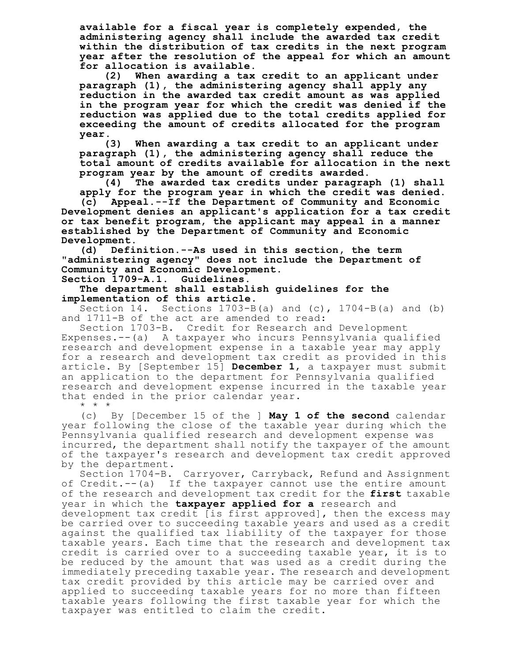**available for a fiscal year is completely expended, the administering agency shall include the awarded tax credit within the distribution of tax credits in the next program year after the resolution of the appeal for which an amount**

**for allocation is available. (2) When awarding a tax credit to an applicant under paragraph (1), the administering agency shall apply any reduction in the awarded tax credit amount as was applied in the program year for which the credit was denied if the reduction was applied due to the total credits applied for exceeding the amount of credits allocated for the program year.**

**(3) When awarding a tax credit to an applicant under paragraph (1), the administering agency shall reduce the total amount of credits available for allocation in the next program year by the amount of credits awarded.**

**(4) The awarded tax credits under paragraph (1) shall apply for the program year in which the credit was denied.**

**(c) Appeal.--If the Department of Community and Economic Development denies an applicant's application for a tax credit or tax benefit program, the applicant may appeal in a manner established by the Department of Community and Economic Development.**

**(d) Definition.--As used in this section, the term "administering agency" does not include the Department of Community and Economic Development.**

**Section 1709-A.1. Guidelines.**

**The department shall establish guidelines for the implementation of this article.**

Section 14. Sections  $1703-B(a)$  and  $(c)$ ,  $1704-B(a)$  and  $(b)$ and 1711-B of the act are amended to read:

Section 1703-B. Credit for Research and Development Expenses.--(a) A taxpayer who incurs Pennsylvania qualified research and development expense in a taxable year may apply for a research and development tax credit as provided in this article. By [September 15] **December 1**, a taxpayer must submit an application to the department for Pennsylvania qualified research and development expense incurred in the taxable year that ended in the prior calendar year.

\* \* \*

(c) By [December 15 of the ] **May 1 of the second** calendar year following the close of the taxable year during which the Pennsylvania qualified research and development expense was incurred, the department shall notify the taxpayer of the amount of the taxpayer's research and development tax credit approved by the department.

Section 1704-B. Carryover, Carryback, Refund and Assignment of Credit.--(a) If the taxpayer cannot use the entire amount of the research and development tax credit for the **first** taxable year in which the **taxpayer applied for a** research and development tax credit [is first approved], then the excess may be carried over to succeeding taxable years and used as a credit against the qualified tax liability of the taxpayer for those taxable years. Each time that the research and development tax credit is carried over to a succeeding taxable year, it is to be reduced by the amount that was used as a credit during the immediately preceding taxable year. The research and development tax credit provided by this article may be carried over and applied to succeeding taxable years for no more than fifteen taxable years following the first taxable year for which the taxpayer was entitled to claim the credit.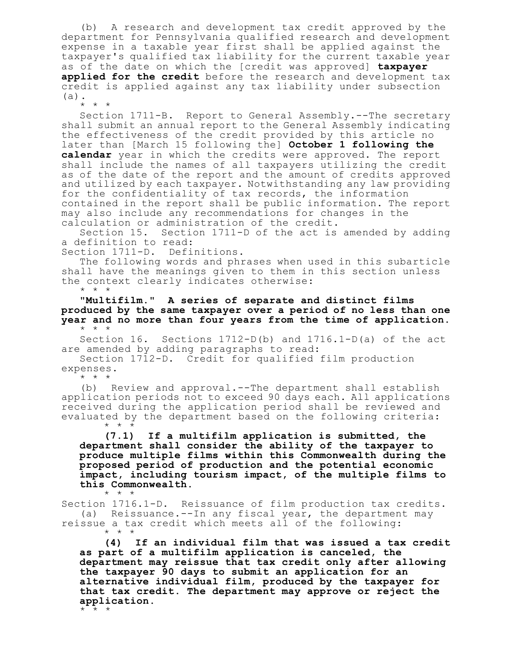(b) A research and development tax credit approved by the department for Pennsylvania qualified research and development expense in a taxable year first shall be applied against the taxpayer's qualified tax liability for the current taxable year as of the date on which the [credit was approved] **taxpayer applied for the credit** before the research and development tax credit is applied against any tax liability under subsection (a).

\* \* \* Section 1711-B. Report to General Assembly.--The secretary shall submit an annual report to the General Assembly indicating the effectiveness of the credit provided by this article no later than [March 15 following the] **October 1 following the calendar** year in which the credits were approved. The report shall include the names of all taxpayers utilizing the credit as of the date of the report and the amount of credits approved and utilized by each taxpayer. Notwithstanding any law providing for the confidentiality of tax records, the information contained in the report shall be public information. The report may also include any recommendations for changes in the calculation or administration of the credit.

Section 15. Section 1711-D of the act is amended by adding a definition to read:

Section 1711-D. Definitions.

The following words and phrases when used in this subarticle shall have the meanings given to them in this section unless the context clearly indicates otherwise:

\* \* \*

**"Multifilm." A series of separate and distinct films produced by the same taxpayer over a period of no less than one year and no more than four years from the time of application.** \* \* \*

Section 16. Sections 1712-D(b) and 1716.1-D(a) of the act are amended by adding paragraphs to read:

Section 1712-D. Credit for qualified film production expenses.

\* \* \*

(b) Review and approval.--The department shall establish application periods not to exceed 90 days each. All applications received during the application period shall be reviewed and evaluated by the department based on the following criteria: \* \* \*

**(7.1) If a multifilm application is submitted, the department shall consider the ability of the taxpayer to produce multiple films within this Commonwealth during the proposed period of production and the potential economic impact, including tourism impact, of the multiple films to this Commonwealth.** \* \* \*

Section 1716.1-D. Reissuance of film production tax credits. (a) Reissuance.--In any fiscal year, the department may reissue a tax credit which meets all of the following: \* \* \*

**(4) If an individual film that was issued a tax credit as part of a multifilm application is canceled, the department may reissue that tax credit only after allowing the taxpayer 90 days to submit an application for an alternative individual film, produced by the taxpayer for that tax credit. The department may approve or reject the application.**

\* \* \*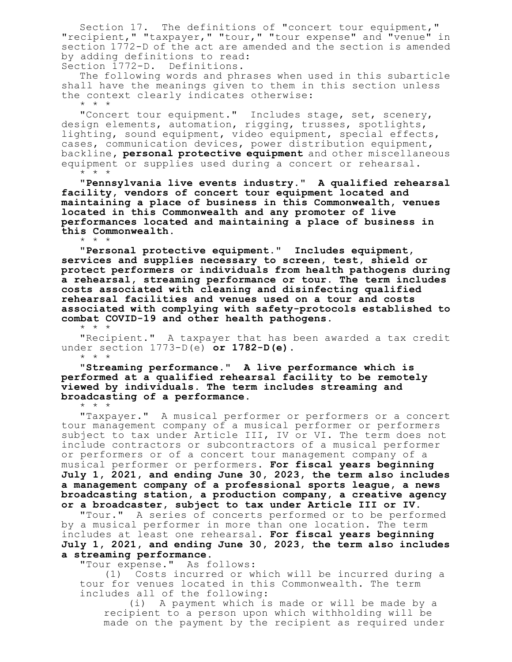Section 17. The definitions of "concert tour equipment," "recipient," "taxpayer," "tour," "tour expense" and "venue" in section 1772-D of the act are amended and the section is amended by adding definitions to read: Section 1772-D. Definitions.

The following words and phrases when used in this subarticle shall have the meanings given to them in this section unless the context clearly indicates otherwise:

\* \* \*

\* \* \*

"Concert tour equipment." Includes stage, set, scenery, design elements, automation, rigging, trusses, spotlights, lighting, sound equipment, video equipment, special effects, cases, communication devices, power distribution equipment, backline**, personal protective equipment** and other miscellaneous equipment or supplies used during a concert or rehearsal. \* \* \*

**"Pennsylvania live events industry." A qualified rehearsal facility, vendors of concert tour equipment located and maintaining a place of business in this Commonwealth, venues located in this Commonwealth and any promoter of live performances located and maintaining a place of business in this Commonwealth.**

**"Personal protective equipment." Includes equipment, services and supplies necessary to screen, test, shield or protect performers or individuals from health pathogens during a rehearsal, streaming performance or tour. The term includes costs associated with cleaning and disinfecting qualified rehearsal facilities and venues used on a tour and costs associated with complying with safety-protocols established to combat COVID-19 and other health pathogens.** \* \* \*

"Recipient." A taxpayer that has been awarded a tax credit under section 1773-D(e) **or 1782-D(e)**. \* \* \*

**"Streaming performance." A live performance which is performed at a qualified rehearsal facility to be remotely viewed by individuals. The term includes streaming and broadcasting of a performance.**

\* \* \*

"Taxpayer." A musical performer or performers or a concert tour management company of a musical performer or performers subject to tax under Article III, IV or VI. The term does not include contractors or subcontractors of a musical performer or performers or of a concert tour management company of a musical performer or performers. **For fiscal years beginning July 1, 2021, and ending June 30, 2023, the term also includes a management company of a professional sports league, a news broadcasting station, a production company, a creative agency or a broadcaster, subject to tax under Article III or IV.**

"Tour." A series of concerts performed or to be performed by a musical performer in more than one location. The term includes at least one rehearsal. **For fiscal years beginning July 1, 2021, and ending June 30, 2023, the term also includes a streaming performance.**

"Tour expense." As follows:

(1) Costs incurred or which will be incurred during a tour for venues located in this Commonwealth. The term includes all of the following:

(i) A payment which is made or will be made by a recipient to a person upon which withholding will be made on the payment by the recipient as required under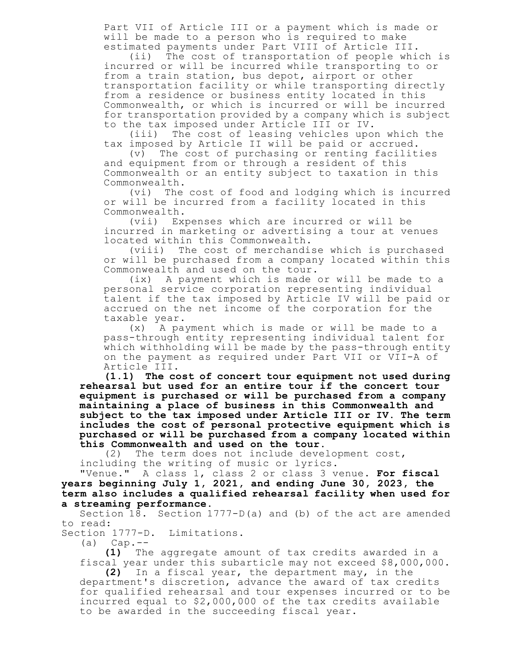Part VII of Article III or a payment which is made or will be made to a person who is required to make estimated payments under Part VIII of Article III.

(ii) The cost of transportation of people which is incurred or will be incurred while transporting to or from a train station, bus depot, airport or other transportation facility or while transporting directly from a residence or business entity located in this Commonwealth, or which is incurred or will be incurred for transportation provided by a company which is subject to the tax imposed under Article III or IV.

(iii) The cost of leasing vehicles upon which the tax imposed by Article II will be paid or accrued.

(v) The cost of purchasing or renting facilities and equipment from or through a resident of this Commonwealth or an entity subject to taxation in this Commonwealth.

(vi) The cost of food and lodging which is incurred or will be incurred from a facility located in this Commonwealth.

(vii) Expenses which are incurred or will be incurred in marketing or advertising a tour at venues located within this Commonwealth.

(viii) The cost of merchandise which is purchased or will be purchased from a company located within this Commonwealth and used on the tour.

(ix) A payment which is made or will be made to a personal service corporation representing individual talent if the tax imposed by Article IV will be paid or accrued on the net income of the corporation for the taxable year.

(x) A payment which is made or will be made to a pass-through entity representing individual talent for which withholding will be made by the pass-through entity on the payment as required under Part VII or VII-A of Article III.

**(1.1) The cost of concert tour equipment not used during rehearsal but used for an entire tour if the concert tour equipment is purchased or will be purchased from a company maintaining a place of business in this Commonwealth and subject to the tax imposed under Article III or IV. The term includes the cost of personal protective equipment which is purchased or will be purchased from a company located within**

**this Commonwealth and used on the tour.** The term does not include development cost, including the writing of music or lyrics.

"Venue." A class 1, class 2 or class 3 venue. **For fiscal years beginning July 1, 2021, and ending June 30, 2023, the term also includes a qualified rehearsal facility when used for a streaming performance.**

Section 18. Section 1777-D(a) and (b) of the act are amended to read:

Section 1777-D. Limitations.

 $(a)$  Cap.  $--$ 

**(1)** The aggregate amount of tax credits awarded in a fiscal year under this subarticle may not exceed \$8,000,000.

**(2)** In a fiscal year, the department may, in the department's discretion, advance the award of tax credits for qualified rehearsal and tour expenses incurred or to be incurred equal to \$2,000,000 of the tax credits available to be awarded in the succeeding fiscal year.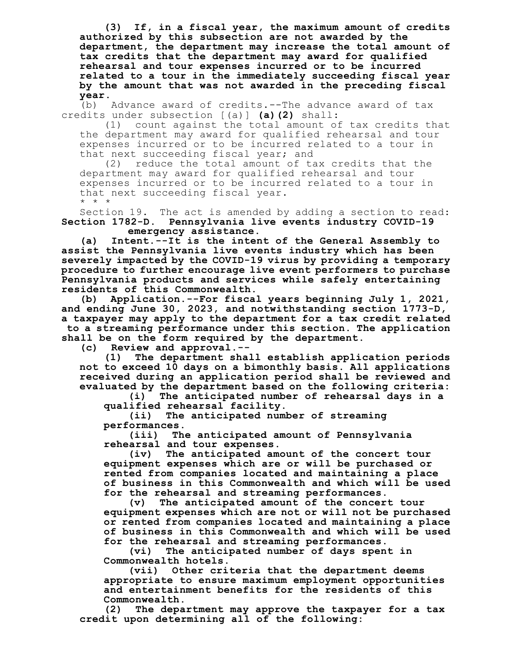**(3) If, in a fiscal year, the maximum amount of credits authorized by this subsection are not awarded by the department, the department may increase the total amount of tax credits that the department may award for qualified rehearsal and tour expenses incurred or to be incurred related to a tour in the immediately succeeding fiscal year by the amount that was not awarded in the preceding fiscal**

**year.** Advance award of credits.--The advance award of tax credits under subsection [(a)] **(a)(2)** shall:

(1) count against the total amount of tax credits that the department may award for qualified rehearsal and tour expenses incurred or to be incurred related to a tour in that next succeeding fiscal year; and

(2) reduce the total amount of tax credits that the department may award for qualified rehearsal and tour expenses incurred or to be incurred related to a tour in that next succeeding fiscal year. \* \* \*

Section 19. The act is amended by adding a section to read: **Section 1782-D. Pennsylvania live events industry COVID-19 emergency assistance.**

**(a) Intent.--It is the intent of the General Assembly to assist the Pennsylvania live events industry which has been severely impacted by the COVID-19 virus by providing a temporary procedure to further encourage live event performers to purchase Pennsylvania products and services while safely entertaining residents of this Commonwealth.**

**(b) Application.--For fiscal years beginning July 1, 2021, and ending June 30, 2023, and notwithstanding section 1773-D, a taxpayer may apply to the department for a tax credit related to a streaming performance under this section. The application shall be on the form required by the department.**

**(c) Review and approval.--**

**(1) The department shall establish application periods not to exceed 10 days on a bimonthly basis. All applications received during an application period shall be reviewed and evaluated by the department based on the following criteria:**

**(i) The anticipated number of rehearsal days in a qualified rehearsal facility.**

**(ii) The anticipated number of streaming performances.**

**(iii) The anticipated amount of Pennsylvania rehearsal and tour expenses.**

**(iv) The anticipated amount of the concert tour equipment expenses which are or will be purchased or rented from companies located and maintaining a place of business in this Commonwealth and which will be used for the rehearsal and streaming performances.**

**(v) The anticipated amount of the concert tour equipment expenses which are not or will not be purchased or rented from companies located and maintaining a place of business in this Commonwealth and which will be used for the rehearsal and streaming performances.**

**(vi) The anticipated number of days spent in Commonwealth hotels.**

**(vii) Other criteria that the department deems appropriate to ensure maximum employment opportunities and entertainment benefits for the residents of this Commonwealth.**

**(2) The department may approve the taxpayer for a tax credit upon determining all of the following:**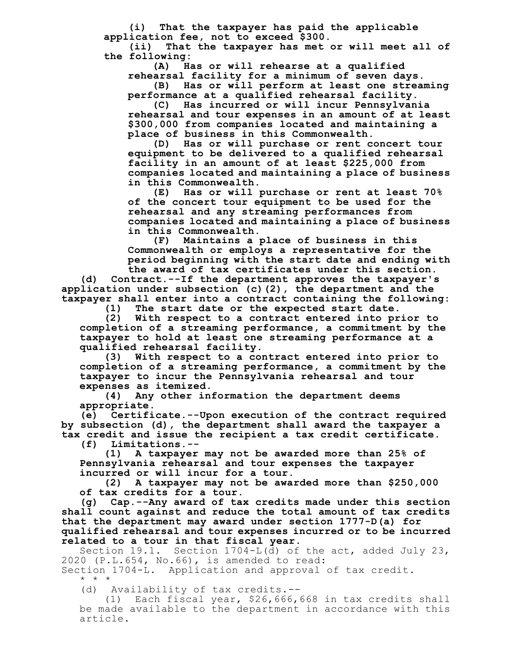**(i) That the taxpayer has paid the applicable application fee, not to exceed \$300.**

**(ii) That the taxpayer has met or will meet all of the following:**

**(A) Has or will rehearse at a qualified**

**rehearsal facility for a minimum of seven days.**

**(B) Has or will perform at least one streaming performance at a qualified rehearsal facility.**

**(C) Has incurred or will incur Pennsylvania rehearsal and tour expenses in an amount of at least \$300,000 from companies located and maintaining a place of business in this Commonwealth.**

**(D) Has or will purchase or rent concert tour equipment to be delivered to a qualified rehearsal facility in an amount of at least \$225,000 from companies located and maintaining a place of business in this Commonwealth.**

**(E) Has or will purchase or rent at least 70% of the concert tour equipment to be used for the rehearsal and any streaming performances from companies located and maintaining a place of business in this Commonwealth.**

**(F) Maintains a place of business in this Commonwealth or employs a representative for the period beginning with the start date and ending with the award of tax certificates under this section.**

**(d) Contract.--If the department approves the taxpayer's application under subsection (c)(2), the department and the taxpayer shall enter into a contract containing the following:**

**(1) The start date or the expected start date.**

**(2) With respect to a contract entered into prior to completion of a streaming performance, a commitment by the taxpayer to hold at least one streaming performance at a qualified rehearsal facility.**

**(3) With respect to a contract entered into prior to completion of a streaming performance, a commitment by the taxpayer to incur the Pennsylvania rehearsal and tour expenses as itemized.**

**(4) Any other information the department deems appropriate.**

**(e) Certificate.--Upon execution of the contract required by subsection (d), the department shall award the taxpayer a tax credit and issue the recipient a tax credit certificate.**

**(f) Limitations.--**

**(1) A taxpayer may not be awarded more than 25% of Pennsylvania rehearsal and tour expenses the taxpayer incurred or will incur for a tour.**

**(2) A taxpayer may not be awarded more than \$250,000 of tax credits for a tour.**

**(g) Cap.--Any award of tax credits made under this section shall count against and reduce the total amount of tax credits that the department may award under section 1777-D(a) for qualified rehearsal and tour expenses incurred or to be incurred related to a tour in that fiscal year.**

Section 19.1. Section 1704-L(d) of the act, added July 23, 2020 (P.L.654, No.66), is amended to read:

Section 1704-L. Application and approval of tax credit.

\* \* \*

(d) Availability of tax credits.--

(1) Each fiscal year, \$26,666,668 in tax credits shall be made available to the department in accordance with this article.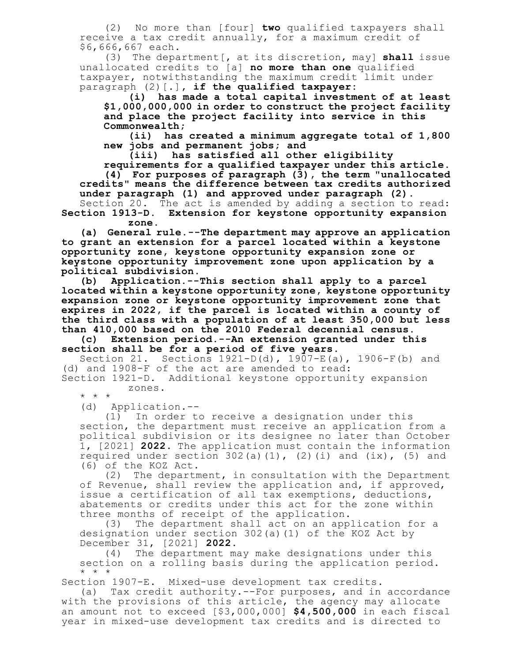(2) No more than [four] **two** qualified taxpayers shall receive a tax credit annually, for a maximum credit of \$6,666,667 each.

(3) The department[, at its discretion, may] **shall** issue unallocated credits to [a] **no more than one** qualified taxpayer, notwithstanding the maximum credit limit under paragraph (2)[.]**, if the qualified taxpayer:**

**(i) has made a total capital investment of at least \$1,000,000,000 in order to construct the project facility and place the project facility into service in this Commonwealth;**

**(ii) has created a minimum aggregate total of 1,800 new jobs and permanent jobs; and**

**(iii) has satisfied all other eligibility**

**requirements for a qualified taxpayer under this article. (4) For purposes of paragraph (3), the term "unallocated credits" means the difference between tax credits authorized under paragraph (1) and approved under paragraph (2).**

Section 20. The act is amended by adding a section to read: **Section 1913-D. Extension for keystone opportunity expansion zone.**

**(a) General rule.--The department may approve an application to grant an extension for a parcel located within a keystone opportunity zone, keystone opportunity expansion zone or keystone opportunity improvement zone upon application by a political subdivision.**

**(b) Application.--This section shall apply to a parcel located within a keystone opportunity zone, keystone opportunity expansion zone or keystone opportunity improvement zone that expires in 2022, if the parcel is located within a county of the third class with a population of at least 350,000 but less than 410,000 based on the 2010 Federal decennial census.**

**(c) Extension period.--An extension granted under this section shall be for a period of five years.**

Section 21. Sections 1921-D(d), 1907-E(a), 1906-F(b) and (d) and 1908-F of the act are amended to read: Section 1921-D. Additional keystone opportunity expansion

\* \* \*

(d) Application.--

zones.

(1) In order to receive a designation under this section, the department must receive an application from a political subdivision or its designee no later than October 1, [2021] **2022**. The application must contain the information required under section  $302(a)(1)$ ,  $(2)(i)$  and  $(ix)$ ,  $(5)$  and (6) of the KOZ Act.

(2) The department, in consultation with the Department of Revenue, shall review the application and, if approved, issue a certification of all tax exemptions, deductions, abatements or credits under this act for the zone within three months of receipt of the application.<br>(3) The department shall act on an app.

The department shall act on an application for a designation under section 302(a)(1) of the KOZ Act by December 31, [2021] **2022**.

(4) The department may make designations under this section on a rolling basis during the application period. \* \* \*

Section 1907-E. Mixed-use development tax credits.

(a) Tax credit authority.--For purposes, and in accordance with the provisions of this article, the agency may allocate an amount not to exceed [\$3,000,000] **\$4,500,000** in each fiscal year in mixed-use development tax credits and is directed to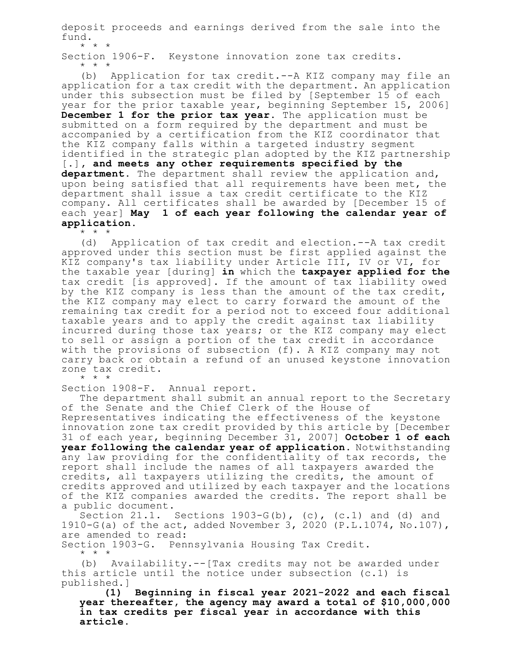deposit proceeds and earnings derived from the sale into the fund.

\* \* \* Section 1906-F. Keystone innovation zone tax credits. \* \* \*

(b) Application for tax credit.--A KIZ company may file an application for a tax credit with the department. An application under this subsection must be filed by [September 15 of each year for the prior taxable year, beginning September 15, 2006] **December 1 for the prior tax year**. The application must be submitted on a form required by the department and must be accompanied by a certification from the KIZ coordinator that the KIZ company falls within a targeted industry segment identified in the strategic plan adopted by the KIZ partnership [.]**, and meets any other requirements specified by the department.** The department shall review the application and, upon being satisfied that all requirements have been met, the department shall issue a tax credit certificate to the KIZ company. All certificates shall be awarded by [December 15 of each year] **May 1 of each year following the calendar year of application**.

\* \* \*<br>(d) Application of tax credit and election.--A tax credit approved under this section must be first applied against the KIZ company's tax liability under Article III, IV or VI, for the taxable year [during] **in** which the **taxpayer applied for the** tax credit [is approved]. If the amount of tax liability owed by the KIZ company is less than the amount of the tax credit, the KIZ company may elect to carry forward the amount of the remaining tax credit for a period not to exceed four additional taxable years and to apply the credit against tax liability incurred during those tax years; or the KIZ company may elect to sell or assign a portion of the tax credit in accordance with the provisions of subsection (f). A KIZ company may not carry back or obtain a refund of an unused keystone innovation zone tax credit. \* \* \*

Section 1908-F. Annual report.

The department shall submit an annual report to the Secretary of the Senate and the Chief Clerk of the House of

Representatives indicating the effectiveness of the keystone innovation zone tax credit provided by this article by [December 31 of each year, beginning December 31, 2007] **October 1 of each year following the calendar year of application**. Notwithstanding any law providing for the confidentiality of tax records, the report shall include the names of all taxpayers awarded the credits, all taxpayers utilizing the credits, the amount of credits approved and utilized by each taxpayer and the locations of the KIZ companies awarded the credits. The report shall be a public document.

Section  $21.1$ . Sections  $1903-G(b)$ , (c), (c.1) and (d) and 1910-G(a) of the act, added November 3, 2020 (P.L.1074, No.107), are amended to read:

Section 1903-G. Pennsylvania Housing Tax Credit. \* \* \*

(b) Availability.--[Tax credits may not be awarded under this article until the notice under subsection (c.1) is published.]

**(1) Beginning in fiscal year 2021-2022 and each fiscal year thereafter, the agency may award a total of \$10,000,000 in tax credits per fiscal year in accordance with this article.**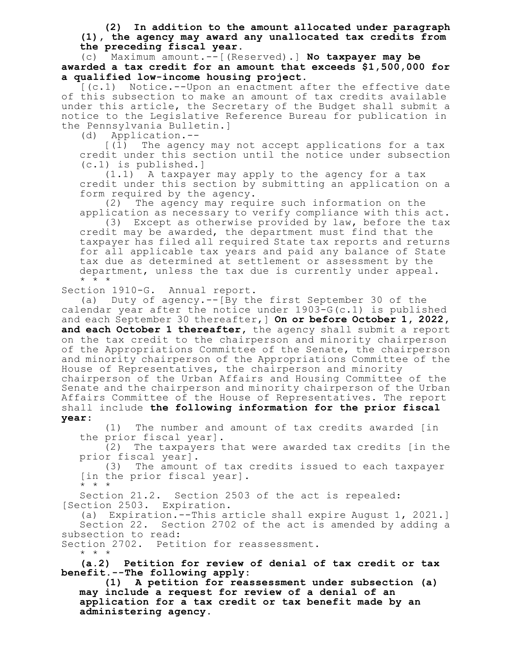**(2) In addition to the amount allocated under paragraph (1), the agency may award any unallocated tax credits from the preceding fiscal year.**

(c) Maximum amount.--[(Reserved).] **No taxpayer may be awarded a tax credit for an amount that exceeds \$1,500,000 for a qualified low-income housing project.**

[(c.1) Notice.--Upon an enactment after the effective date of this subsection to make an amount of tax credits available under this article, the Secretary of the Budget shall submit a notice to the Legislative Reference Bureau for publication in the Pennsylvania Bulletin.]

(d) Application.--

[(1) The agency may not accept applications for a tax credit under this section until the notice under subsection (c.1) is published.]

(1.1) A taxpayer may apply to the agency for a tax credit under this section by submitting an application on a form required by the agency.

(2) The agency may require such information on the application as necessary to verify compliance with this act.

(3) Except as otherwise provided by law, before the tax credit may be awarded, the department must find that the taxpayer has filed all required State tax reports and returns for all applicable tax years and paid any balance of State tax due as determined at settlement or assessment by the department, unless the tax due is currently under appeal. \* \* \*

Section 1910-G. Annual report.

(a) Duty of agency.--[By the first September 30 of the calendar year after the notice under 1903-G(c.1) is published and each September 30 thereafter,] **On or before October 1, 2022, and each October 1 thereafter,** the agency shall submit a report on the tax credit to the chairperson and minority chairperson of the Appropriations Committee of the Senate, the chairperson and minority chairperson of the Appropriations Committee of the House of Representatives, the chairperson and minority chairperson of the Urban Affairs and Housing Committee of the Senate and the chairperson and minority chairperson of the Urban Affairs Committee of the House of Representatives. The report shall include **the following information for the prior fiscal year**:

(1) The number and amount of tax credits awarded [in the prior fiscal year].

(2) The taxpayers that were awarded tax credits [in the prior fiscal year].

(3) The amount of tax credits issued to each taxpayer [in the prior fiscal year]. \* \* \*

Section 21.2. Section 2503 of the act is repealed: [Section 2503. Expiration.

(a) Expiration.--This article shall expire August 1, 2021.] Section 22. Section 2702 of the act is amended by adding a subsection to read:

Section 2702. Petition for reassessment. \* \* \*

**(a.2) Petition for review of denial of tax credit or tax benefit.--The following apply:**

**(1) A petition for reassessment under subsection (a) may include a request for review of a denial of an application for a tax credit or tax benefit made by an administering agency.**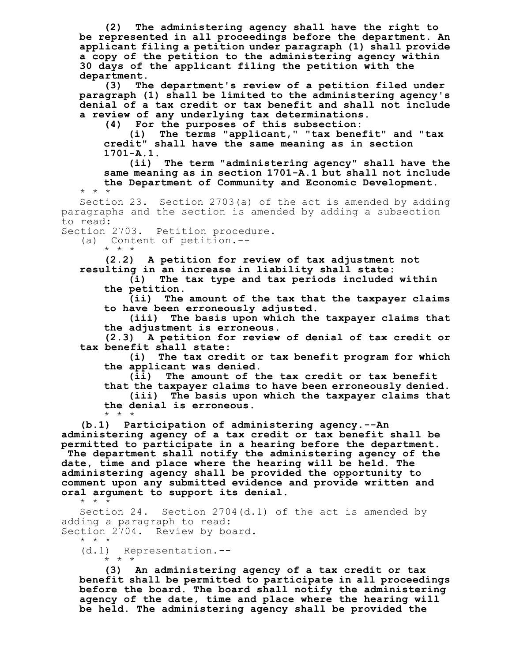**(2) The administering agency shall have the right to be represented in all proceedings before the department. An applicant filing a petition under paragraph (1) shall provide a copy of the petition to the administering agency within 30 days of the applicant filing the petition with the department.**

**(3) The department's review of a petition filed under paragraph (1) shall be limited to the administering agency's denial of a tax credit or tax benefit and shall not include a review of any underlying tax determinations.**

**(4) For the purposes of this subsection:**

**(i) The terms "applicant," "tax benefit" and "tax credit" shall have the same meaning as in section 1701-A.1.**

**(ii) The term "administering agency" shall have the same meaning as in section 1701-A.1 but shall not include the Department of Community and Economic Development.** \* \* \*

Section 23. Section 2703(a) of the act is amended by adding paragraphs and the section is amended by adding a subsection to read:

Section 2703. Petition procedure.

(a) Content of petition.--

\* \* \*

**(2.2) A petition for review of tax adjustment not resulting in an increase in liability shall state:**

**(i) The tax type and tax periods included within the petition.**

**(ii) The amount of the tax that the taxpayer claims to have been erroneously adjusted.**

**(iii) The basis upon which the taxpayer claims that the adjustment is erroneous.**

**(2.3) A petition for review of denial of tax credit or tax benefit shall state:**

**(i) The tax credit or tax benefit program for which the applicant was denied.**

**(ii) The amount of the tax credit or tax benefit that the taxpayer claims to have been erroneously denied. (iii) The basis upon which the taxpayer claims that the denial is erroneous.** \* \* \*

**(b.1) Participation of administering agency.--An administering agency of a tax credit or tax benefit shall be permitted to participate in a hearing before the department. The department shall notify the administering agency of the date, time and place where the hearing will be held. The administering agency shall be provided the opportunity to comment upon any submitted evidence and provide written and oral argument to support its denial.** \* \* \*

Section 24. Section 2704(d.1) of the act is amended by adding a paragraph to read: Section 2704. Review by board.

\* \* \* (d.1) Representation.-- \* \* \*

**(3) An administering agency of a tax credit or tax benefit shall be permitted to participate in all proceedings before the board. The board shall notify the administering agency of the date, time and place where the hearing will be held. The administering agency shall be provided the**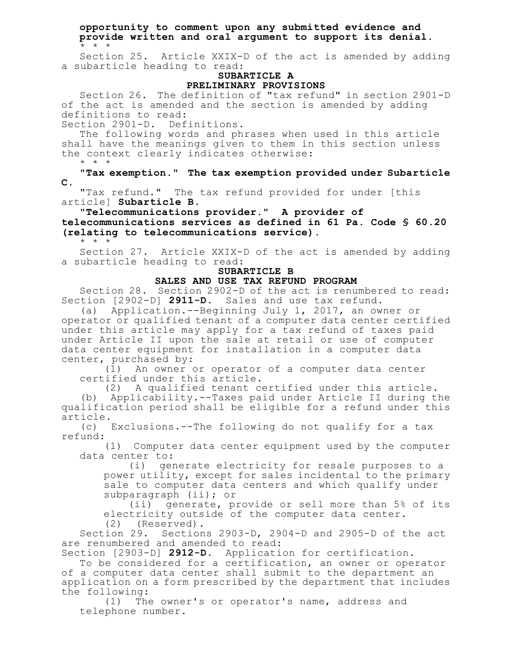**opportunity to comment upon any submitted evidence and provide written and oral argument to support its denial.** \* \* \*

Section 25. Article XXIX-D of the act is amended by adding a subarticle heading to read:

#### **SUBARTICLE A PRELIMINARY PROVISIONS**

Section 26. The definition of "tax refund" in section 2901-D of the act is amended and the section is amended by adding definitions to read:

Section 2901-D. Definitions.

The following words and phrases when used in this article shall have the meanings given to them in this section unless the context clearly indicates otherwise: \* \* \*

**"Tax exemption." The tax exemption provided under Subarticle C.**

"Tax refund." The tax refund provided for under [this article] **Subarticle B**.

"**Telecommunications provider." A provider of telecommunications services as defined in 61 Pa. Code § 60.20 (relating to telecommunications service).**

\* \* \*

Section 27. Article XXIX-D of the act is amended by adding a subarticle heading to read:

# **SUBARTICLE B**

## **SALES AND USE TAX REFUND PROGRAM**

Section 28. Section 2902-D of the act is renumbered to read: Section [2902-D] **2911-D**. Sales and use tax refund.

(a) Application.--Beginning July 1, 2017, an owner or operator or qualified tenant of a computer data center certified under this article may apply for a tax refund of taxes paid under Article II upon the sale at retail or use of computer data center equipment for installation in a computer data center, purchased by:<br>(1) An owner o

An owner or operator of a computer data center certified under this article.

(2) A qualified tenant certified under this article. (b) Applicability.--Taxes paid under Article II during the qualification period shall be eligible for a refund under this article.

(c) Exclusions.--The following do not qualify for a tax refund:

(1) Computer data center equipment used by the computer data center to:

(i) generate electricity for resale purposes to a power utility, except for sales incidental to the primary sale to computer data centers and which qualify under subparagraph (ii); or

(ii) generate, provide or sell more than 5% of its electricity outside of the computer data center. (2) (Reserved).

Section 29. Sections 2903-D, 2904-D and 2905-D of the act are renumbered and amended to read:

Section [2903-D] **2912-D**. Application for certification.

To be considered for a certification, an owner or operator of a computer data center shall submit to the department an application on a form prescribed by the department that includes the following:

(1) The owner's or operator's name, address and telephone number.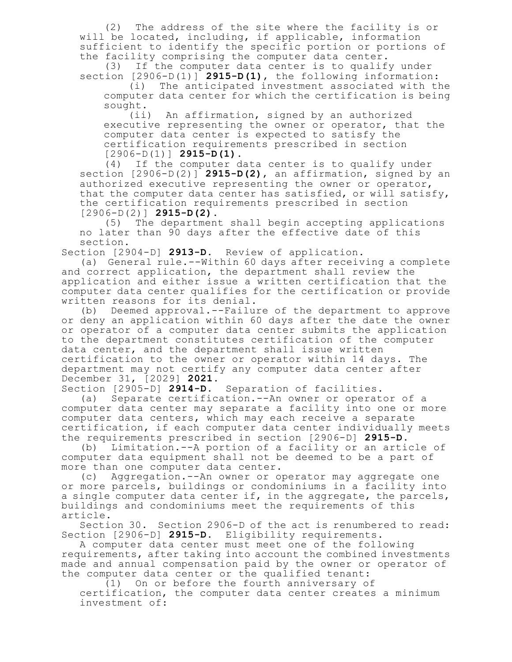(2) The address of the site where the facility is or will be located, including, if applicable, information sufficient to identify the specific portion or portions of the facility comprising the computer data center.

(3) If the computer data center is to qualify under section [2906-D(1)] **2915-D(1)**, the following information:

(i) The anticipated investment associated with the computer data center for which the certification is being sought.

(ii) An affirmation, signed by an authorized executive representing the owner or operator, that the computer data center is expected to satisfy the certification requirements prescribed in section [2906-D(1)] **2915-D(1)**.

(4) If the computer data center is to qualify under section [2906-D(2)] **2915-D(2)**, an affirmation, signed by an authorized executive representing the owner or operator, that the computer data center has satisfied, or will satisfy, the certification requirements prescribed in section [2906-D(2)] **2915-D(2)**.

(5) The department shall begin accepting applications no later than 90 days after the effective date of this section.

Section [2904-D] **2913-D**. Review of application.

(a) General rule.--Within 60 days after receiving a complete and correct application, the department shall review the application and either issue a written certification that the computer data center qualifies for the certification or provide written reasons for its denial.

(b) Deemed approval.--Failure of the department to approve or deny an application within 60 days after the date the owner or operator of a computer data center submits the application to the department constitutes certification of the computer data center, and the department shall issue written certification to the owner or operator within 14 days. The department may not certify any computer data center after December 31, [2029] **2021**.

Section [2905-D] **2914-D**. Separation of facilities.

(a) Separate certification.--An owner or operator of a computer data center may separate a facility into one or more computer data centers, which may each receive a separate certification, if each computer data center individually meets the requirements prescribed in section [2906-D] **2915-D**.

(b) Limitation.--A portion of a facility or an article of computer data equipment shall not be deemed to be a part of more than one computer data center.<br>(c) Aggregation.--An owner or o

Aggregation.--An owner or operator may aggregate one or more parcels, buildings or condominiums in a facility into a single computer data center if, in the aggregate, the parcels, buildings and condominiums meet the requirements of this article.

Section 30. Section 2906-D of the act is renumbered to read: Section [2906-D] **2915-D**. Eligibility requirements.

A computer data center must meet one of the following requirements, after taking into account the combined investments made and annual compensation paid by the owner or operator of the computer data center or the qualified tenant:

(1) On or before the fourth anniversary of

certification, the computer data center creates a minimum investment of: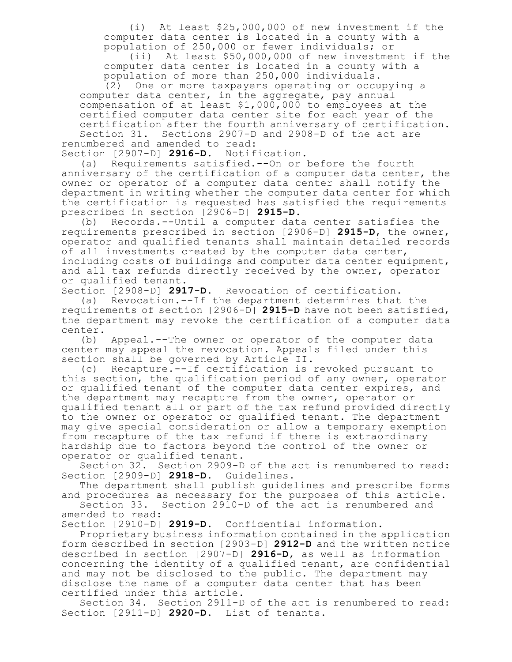(i) At least \$25,000,000 of new investment if the computer data center is located in a county with a population of 250,000 or fewer individuals; or

(ii) At least \$50,000,000 of new investment if the computer data center is located in a county with a population of more than 250,000 individuals.

(2) One or more taxpayers operating or occupying a computer data center, in the aggregate, pay annual compensation of at least  $$1,000,000$  to employees at the certified computer data center site for each year of the certification after the fourth anniversary of certification. Section 31. Sections 2907-D and 2908-D of the act are renumbered and amended to read:

Section [2907-D] **2916-D**. Notification.

(a) Requirements satisfied.--On or before the fourth anniversary of the certification of a computer data center, the owner or operator of a computer data center shall notify the department in writing whether the computer data center for which the certification is requested has satisfied the requirements prescribed in section [2906-D] **2915-D**.

(b) Records.--Until a computer data center satisfies the requirements prescribed in section [2906-D] **2915-D**, the owner, operator and qualified tenants shall maintain detailed records of all investments created by the computer data center, including costs of buildings and computer data center equipment, and all tax refunds directly received by the owner, operator or qualified tenant.

Section [2908-D] **2917-D**. Revocation of certification.

(a) Revocation.--If the department determines that the requirements of section [2906-D] **2915-D** have not been satisfied, the department may revoke the certification of a computer data center.

(b) Appeal.--The owner or operator of the computer data center may appeal the revocation. Appeals filed under this section shall be governed by Article II.

(c) Recapture.--If certification is revoked pursuant to this section, the qualification period of any owner, operator or qualified tenant of the computer data center expires, and the department may recapture from the owner, operator or qualified tenant all or part of the tax refund provided directly to the owner or operator or qualified tenant. The department may give special consideration or allow a temporary exemption from recapture of the tax refund if there is extraordinary hardship due to factors beyond the control of the owner or operator or qualified tenant.

Section 32. Section 2909-D of the act is renumbered to read: Section [2909-D] **2918-D**. Guidelines.

The department shall publish guidelines and prescribe forms and procedures as necessary for the purposes of this article.

Section 33. Section 2910-D of the act is renumbered and amended to read:

Section [2910-D] **2919-D**. Confidential information.

Proprietary business information contained in the application form described in section [2903-D] **2912-D** and the written notice described in section [2907-D] **2916-D**, as well as information concerning the identity of a qualified tenant, are confidential and may not be disclosed to the public. The department may disclose the name of a computer data center that has been certified under this article.

Section 34. Section 2911-D of the act is renumbered to read: Section [2911-D] **2920-D**. List of tenants.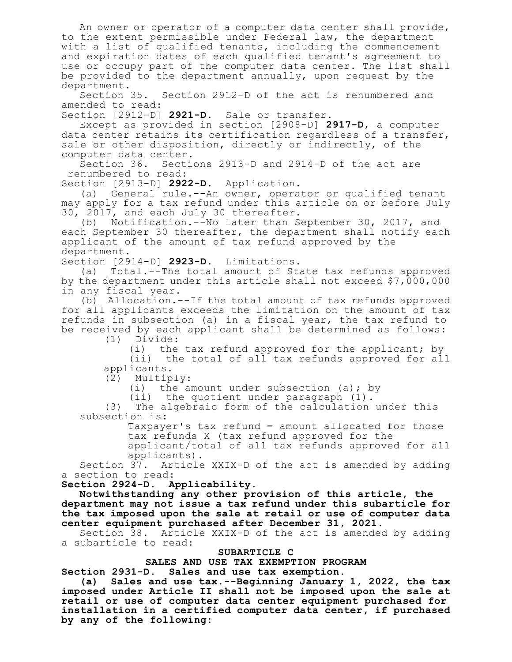An owner or operator of a computer data center shall provide, to the extent permissible under Federal law, the department with a list of qualified tenants, including the commencement and expiration dates of each qualified tenant's agreement to use or occupy part of the computer data center. The list shall be provided to the department annually, upon request by the department.

Section 35. Section 2912-D of the act is renumbered and amended to read:

Section [2912-D] **2921-D**. Sale or transfer.

Except as provided in section [2908-D] **2917-D**, a computer data center retains its certification regardless of a transfer, sale or other disposition, directly or indirectly, of the computer data center.

Section 36. Sections 2913-D and 2914-D of the act are renumbered to read:

Section [2913-D] **2922-D**. Application.

(a) General rule.--An owner, operator or qualified tenant may apply for a tax refund under this article on or before July 30, 2017, and each July 30 thereafter.

(b) Notification.--No later than September 30, 2017, and each September 30 thereafter, the department shall notify each applicant of the amount of tax refund approved by the department.

Section [2914-D] **2923-D**. Limitations.

(a) Total.--The total amount of State tax refunds approved by the department under this article shall not exceed \$7,000,000 in any fiscal year.

(b) Allocation.--If the total amount of tax refunds approved for all applicants exceeds the limitation on the amount of tax refunds in subsection (a) in a fiscal year, the tax refund to be received by each applicant shall be determined as follows:

(1) Divide:

(i) the tax refund approved for the applicant; by (ii) the total of all tax refunds approved for all applicants.

(2) Multiply:

(i) the amount under subsection (a); by

(ii) the quotient under paragraph (1).

(3) The algebraic form of the calculation under this subsection is:

> Taxpayer's tax refund = amount allocated for those tax refunds X (tax refund approved for the

applicant/total of all tax refunds approved for all applicants).

Section 37. Article XXIX-D of the act is amended by adding a section to read:

**Section 2924-D. Applicability.**

**Notwithstanding any other provision of this article, the department may not issue a tax refund under this subarticle for the tax imposed upon the sale at retail or use of computer data center equipment purchased after December 31, 2021.**

Section 38. Article XXIX-D of the act is amended by adding a subarticle to read:

### **SUBARTICLE C**

### **SALES AND USE TAX EXEMPTION PROGRAM**

**Section 2931-D. Sales and use tax exemption.**

**(a) Sales and use tax.--Beginning January 1, 2022, the tax imposed under Article II shall not be imposed upon the sale at retail or use of computer data center equipment purchased for installation in a certified computer data center, if purchased by any of the following:**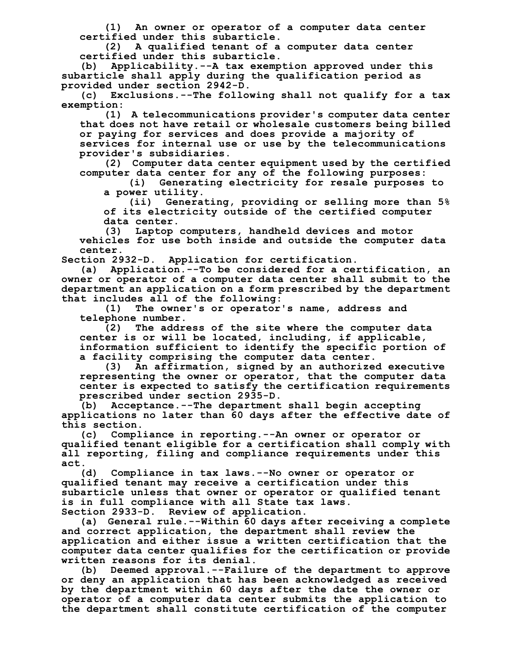**(1) An owner or operator of a computer data center certified under this subarticle.**

**(2) A qualified tenant of a computer data center certified under this subarticle.**

**(b) Applicability.--A tax exemption approved under this subarticle shall apply during the qualification period as provided under section 2942-D.**

**(c) Exclusions.--The following shall not qualify for a tax exemption:**

**(1) A telecommunications provider's computer data center that does not have retail or wholesale customers being billed or paying for services and does provide a majority of services for internal use or use by the telecommunications provider's subsidiaries.**

**(2) Computer data center equipment used by the certified computer data center for any of the following purposes:**

**(i) Generating electricity for resale purposes to a power utility.**

**(ii) Generating, providing or selling more than 5% of its electricity outside of the certified computer data center.**

**(3) Laptop computers, handheld devices and motor**

**vehicles for use both inside and outside the computer data center.**

**Section 2932-D. Application for certification.**

**(a) Application.--To be considered for a certification, an owner or operator of a computer data center shall submit to the department an application on a form prescribed by the department that includes all of the following:**

**(1) The owner's or operator's name, address and telephone number.**

**(2) The address of the site where the computer data center is or will be located, including, if applicable, information sufficient to identify the specific portion of a facility comprising the computer data center.**

**(3) An affirmation, signed by an authorized executive representing the owner or operator, that the computer data center is expected to satisfy the certification requirements prescribed under section 2935-D.**

**(b) Acceptance.--The department shall begin accepting applications no later than 60 days after the effective date of this section.**

**(c) Compliance in reporting.--An owner or operator or qualified tenant eligible for a certification shall comply with all reporting, filing and compliance requirements under this act.**

**(d) Compliance in tax laws.--No owner or operator or qualified tenant may receive a certification under this subarticle unless that owner or operator or qualified tenant is in full compliance with all State tax laws. Section 2933-D. Review of application.**

**(a) General rule.--Within 60 days after receiving a complete and correct application, the department shall review the application and either issue a written certification that the computer data center qualifies for the certification or provide written reasons for its denial.**

**(b) Deemed approval.--Failure of the department to approve or deny an application that has been acknowledged as received by the department within 60 days after the date the owner or operator of a computer data center submits the application to the department shall constitute certification of the computer**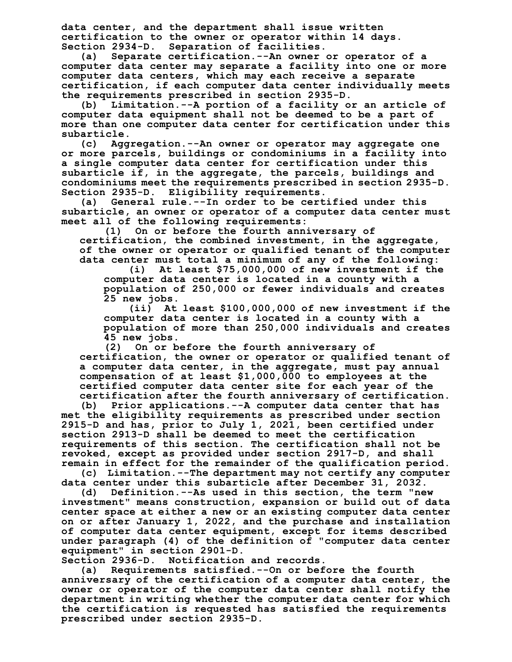**data center, and the department shall issue written certification to the owner or operator within 14 days. Section 2934-D. Separation of facilities.**

**(a) Separate certification.--An owner or operator of a computer data center may separate a facility into one or more computer data centers, which may each receive a separate certification, if each computer data center individually meets the requirements prescribed in section 2935-D.**

**(b) Limitation.--A portion of a facility or an article of computer data equipment shall not be deemed to be a part of more than one computer data center for certification under this**

**subarticle. (c) Aggregation.--An owner or operator may aggregate one or more parcels, buildings or condominiums in a facility into a single computer data center for certification under this subarticle if, in the aggregate, the parcels, buildings and condominiums meet the requirements prescribed in section 2935-D. Section 2935-D. Eligibility requirements.**

**(a) General rule.--In order to be certified under this subarticle, an owner or operator of a computer data center must meet all of the following requirements:**

**(1) On or before the fourth anniversary of certification, the combined investment, in the aggregate, of the owner or operator or qualified tenant of the computer data center must total a minimum of any of the following:**

**(i) At least \$75,000,000 of new investment if the computer data center is located in a county with a population of 250,000 or fewer individuals and creates 25 new jobs.**

**(ii) At least \$100,000,000 of new investment if the computer data center is located in a county with a population of more than 250,000 individuals and creates 45 new jobs.**

**(2) On or before the fourth anniversary of certification, the owner or operator or qualified tenant of a computer data center, in the aggregate, must pay annual compensation of at least \$1,000,000 to employees at the certified computer data center site for each year of the certification after the fourth anniversary of certification.**

**(b) Prior applications.--A computer data center that has met the eligibility requirements as prescribed under section 2915-D and has, prior to July 1, 2021, been certified under section 2913-D shall be deemed to meet the certification requirements of this section. The certification shall not be revoked, except as provided under section 2917-D, and shall remain in effect for the remainder of the qualification period.**

**(c) Limitation.--The department may not certify any computer data center under this subarticle after December 31, 2032.**

**(d) Definition.--As used in this section, the term "new investment" means construction, expansion or build out of data center space at either a new or an existing computer data center on or after January 1, 2022, and the purchase and installation of computer data center equipment, except for items described under paragraph (4) of the definition of "computer data center equipment" in section 2901-D.**

**Section 2936-D. Notification and records.**

**(a) Requirements satisfied.--On or before the fourth anniversary of the certification of a computer data center, the owner or operator of the computer data center shall notify the department in writing whether the computer data center for which the certification is requested has satisfied the requirements prescribed under section 2935-D.**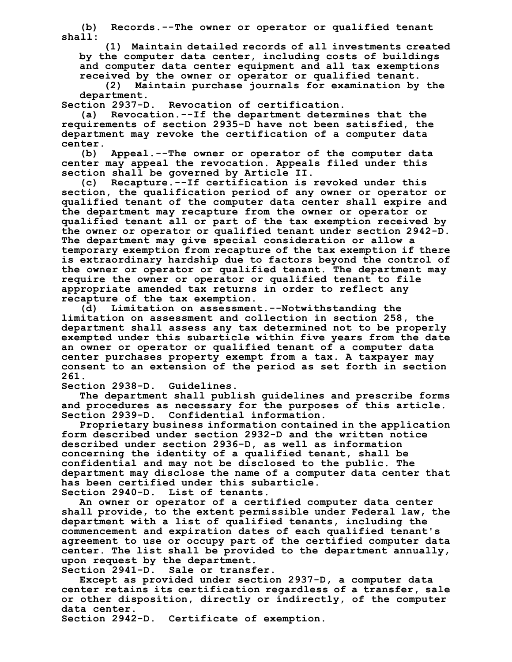**(b) Records.--The owner or operator or qualified tenant shall:**

**(1) Maintain detailed records of all investments created by the computer data center, including costs of buildings and computer data center equipment and all tax exemptions received by the owner or operator or qualified tenant.**

**(2) Maintain purchase journals for examination by the** department.<br>Section 2937-D.

**Section 2937-D. Revocation of certification.**

**(a) Revocation.--If the department determines that the requirements of section 2935-D have not been satisfied, the department may revoke the certification of a computer data center.**

**(b) Appeal.--The owner or operator of the computer data center may appeal the revocation. Appeals filed under this section shall be governed by Article II.**

**(c) Recapture.--If certification is revoked under this section, the qualification period of any owner or operator or qualified tenant of the computer data center shall expire and the department may recapture from the owner or operator or qualified tenant all or part of the tax exemption received by the owner or operator or qualified tenant under section 2942-D. The department may give special consideration or allow a temporary exemption from recapture of the tax exemption if there is extraordinary hardship due to factors beyond the control of the owner or operator or qualified tenant. The department may require the owner or operator or qualified tenant to file appropriate amended tax returns in order to reflect any recapture of the tax exemption.**

**(d) Limitation on assessment.--Notwithstanding the limitation on assessment and collection in section 258, the department shall assess any tax determined not to be properly exempted under this subarticle within five years from the date an owner or operator or qualified tenant of a computer data center purchases property exempt from a tax. A taxpayer may consent to an extension of the period as set forth in section 261.**

**Section 2938-D. Guidelines.**

**The department shall publish guidelines and prescribe forms and procedures as necessary for the purposes of this article. Section 2939-D. Confidential information.**

**Proprietary business information contained in the application form described under section 2932-D and the written notice described under section 2936-D, as well as information concerning the identity of a qualified tenant, shall be confidential and may not be disclosed to the public. The department may disclose the name of a computer data center that has been certified under this subarticle. Section 2940-D. List of tenants.**

**An owner or operator of a certified computer data center shall provide, to the extent permissible under Federal law, the department with a list of qualified tenants, including the commencement and expiration dates of each qualified tenant's agreement to use or occupy part of the certified computer data center. The list shall be provided to the department annually, upon request by the department.**

**Section 2941-D. Sale or transfer.**

**Except as provided under section 2937-D, a computer data center retains its certification regardless of a transfer, sale or other disposition, directly or indirectly, of the computer data center.**

**Section 2942-D. Certificate of exemption.**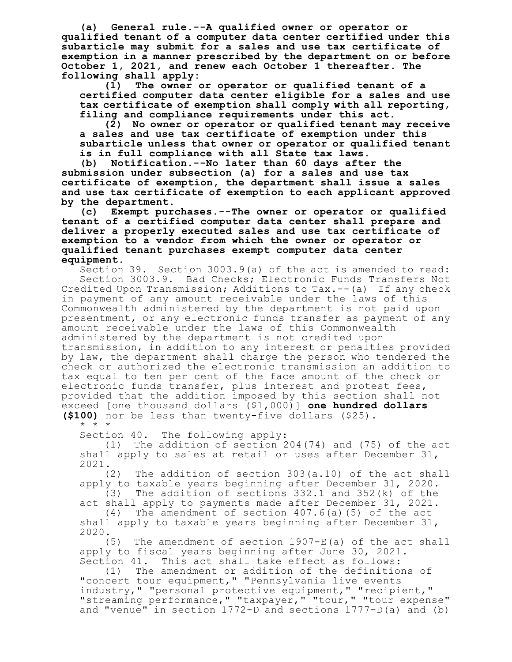**(a) General rule.--A qualified owner or operator or qualified tenant of a computer data center certified under this subarticle may submit for a sales and use tax certificate of exemption in a manner prescribed by the department on or before October 1, 2021, and renew each October 1 thereafter. The following shall apply:**

**(1) The owner or operator or qualified tenant of a certified computer data center eligible for a sales and use tax certificate of exemption shall comply with all reporting, filing and compliance requirements under this act.**

**(2) No owner or operator or qualified tenant may receive a sales and use tax certificate of exemption under this subarticle unless that owner or operator or qualified tenant is in full compliance with all State tax laws.**

**(b) Notification.--No later than 60 days after the submission under subsection (a) for a sales and use tax certificate of exemption, the department shall issue a sales and use tax certificate of exemption to each applicant approved by the department.**

**(c) Exempt purchases.--The owner or operator or qualified tenant of a certified computer data center shall prepare and deliver a properly executed sales and use tax certificate of exemption to a vendor from which the owner or operator or qualified tenant purchases exempt computer data center equipment.**

Section 39. Section 3003.9(a) of the act is amended to read: Section 3003.9. Bad Checks; Electronic Funds Transfers Not Credited Upon Transmission; Additions to Tax.--(a) If any check in payment of any amount receivable under the laws of this Commonwealth administered by the department is not paid upon presentment, or any electronic funds transfer as payment of any amount receivable under the laws of this Commonwealth administered by the department is not credited upon transmission, in addition to any interest or penalties provided by law, the department shall charge the person who tendered the check or authorized the electronic transmission an addition to tax equal to ten per cent of the face amount of the check or electronic funds transfer, plus interest and protest fees, provided that the addition imposed by this section shall not exceed [one thousand dollars (\$1,000)] **one hundred dollars (\$100)** nor be less than twenty-five dollars (\$25).

\* \* \*

Section 40. The following apply:

(1) The addition of section 204(74) and (75) of the act shall apply to sales at retail or uses after December 31, 2021.

(2) The addition of section 303(a.10) of the act shall apply to taxable years beginning after December 31, 2020.<br>(3) The addition of sections 332.1 and 352(k) of the

The addition of sections  $332.1$  and  $352(k)$  of the act shall apply to payments made after December 31, 2021.

(4) The amendment of section 407.6(a)(5) of the act shall apply to taxable years beginning after December 31, 2020.

(5) The amendment of section 1907-E(a) of the act shall apply to fiscal years beginning after June 30, 2021. Section 41. This act shall take effect as follows:

(1) The amendment or addition of the definitions of "concert tour equipment," "Pennsylvania live events industry," "personal protective equipment," "recipient," "streaming performance, " "taxpayer, " "tour, " "tour expense" and "venue" in section 1772-D and sections 1777-D(a) and (b)